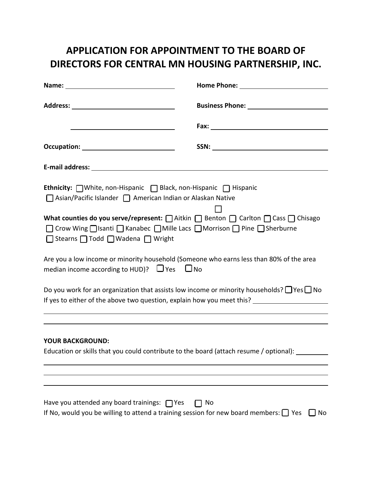## **APPLICATION FOR APPOINTMENT TO THE BOARD OF DIRECTORS FOR CENTRAL MN HOUSING PARTNERSHIP, INC.**

| Ethnicity: nwhite, non-Hispanic netal Black, non-Hispanic netspanic<br>□ Asian/Pacific Islander □ American Indian or Alaskan Native                                                                          |          |
|--------------------------------------------------------------------------------------------------------------------------------------------------------------------------------------------------------------|----------|
| What counties do you serve/represent: <u>natition</u> Benton nation nation nass natisago<br>□ Crow Wing □ Isanti □ Kanabec □ Mille Lacs □ Morrison □ Pine □ Sherburne<br>□ Stearns □ Todd □ Wadena □ Wright  |          |
| Are you a low income or minority household (Someone who earns less than 80% of the area<br>median income according to HUD)? $\Box$ Yes $\Box$ No                                                             |          |
| Do you work for an organization that assists low income or minority households? $\Box$ Yes $\Box$ No<br>If yes to either of the above two question, explain how you meet this? _____________________________ |          |
|                                                                                                                                                                                                              |          |
| <b>YOUR BACKGROUND:</b><br>Education or skills that you could contribute to the board (attach resume / optional):                                                                                            |          |
|                                                                                                                                                                                                              |          |
| Have you attended any board trainings: $\Box$ Yes<br>If No, would you be willing to attend a training session for new board members: $\Box$ Yes                                                              | No<br>No |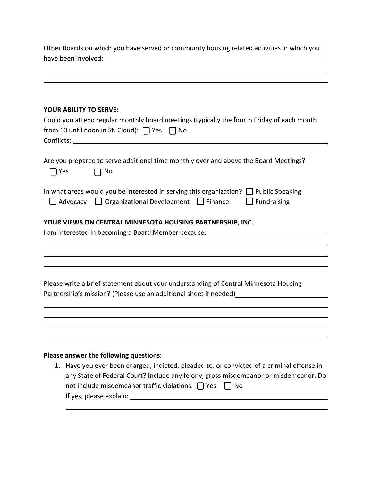| Other Boards on which you have served or community housing related activities in which you |  |  |
|--------------------------------------------------------------------------------------------|--|--|
|                                                                                            |  |  |
|                                                                                            |  |  |
|                                                                                            |  |  |
|                                                                                            |  |  |
|                                                                                            |  |  |
| <b>YOUR ABILITY TO SERVE:</b>                                                              |  |  |

| Could you attend regular monthly board meetings (typically the fourth Friday of each month<br>from 10 until noon in St. Cloud): $\Box$ Yes $\Box$ No |                                                                                                                                                                                                                                                                                   |  |
|------------------------------------------------------------------------------------------------------------------------------------------------------|-----------------------------------------------------------------------------------------------------------------------------------------------------------------------------------------------------------------------------------------------------------------------------------|--|
| 7 Yes                                                                                                                                                | Are you prepared to serve additional time monthly over and above the Board Meetings?<br>$\Box$ No                                                                                                                                                                                 |  |
|                                                                                                                                                      | In what areas would you be interested in serving this organization? $\Box$ Public Speaking<br>$\Box$ Advocacy $\Box$ Organizational Development $\Box$ Finance<br>$\Box$ Fundraising                                                                                              |  |
|                                                                                                                                                      | YOUR VIEWS ON CENTRAL MINNESOTA HOUSING PARTNERSHIP, INC.                                                                                                                                                                                                                         |  |
|                                                                                                                                                      |                                                                                                                                                                                                                                                                                   |  |
|                                                                                                                                                      |                                                                                                                                                                                                                                                                                   |  |
|                                                                                                                                                      | Please write a brief statement about your understanding of Central Minnesota Housing                                                                                                                                                                                              |  |
|                                                                                                                                                      |                                                                                                                                                                                                                                                                                   |  |
|                                                                                                                                                      |                                                                                                                                                                                                                                                                                   |  |
|                                                                                                                                                      |                                                                                                                                                                                                                                                                                   |  |
|                                                                                                                                                      | Please answer the following questions:                                                                                                                                                                                                                                            |  |
|                                                                                                                                                      | 1. Have you ever been charged, indicted, pleaded to, or convicted of a criminal offense in<br>any State of Federal Court? Include any felony, gross misdemeanor or misdemeanor. Do<br>not include misdemeanor traffic violations. $\Box$ Yes $\Box$ No<br>If yes, please explain: |  |

l